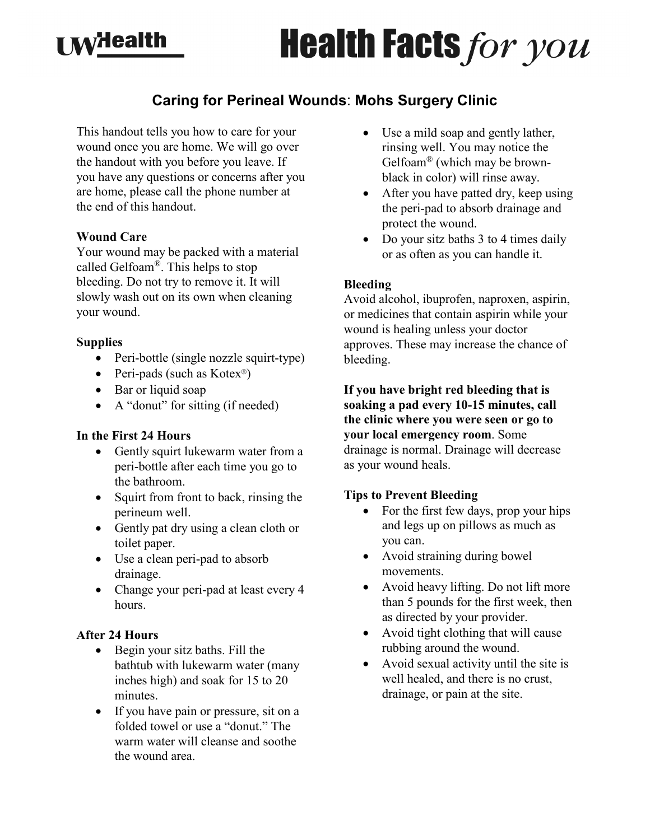# $\mathbf{A}$   $\mathbf{A}$   $\mathbf{B}$  alth

# **Health Facts for you**

### **Caring for Perineal Wounds**: **Mohs Surgery Clinic**

This handout tells you how to care for your wound once you are home. We will go over the handout with you before you leave. If you have any questions or concerns after you are home, please call the phone number at the end of this handout.

#### **Wound Care**

Your wound may be packed with a material called Gelfoam®. This helps to stop bleeding. Do not try to remove it. It will slowly wash out on its own when cleaning your wound.

#### **Supplies**

- Peri-bottle (single nozzle squirt-type)
- Peri-pads (such as Kotex<sup>®</sup>)
- Bar or liquid soap
- A "donut" for sitting (if needed)

#### **In the First 24 Hours**

- Gently squirt lukewarm water from a peri-bottle after each time you go to the bathroom.
- Squirt from front to back, rinsing the perineum well.
- Gently pat dry using a clean cloth or toilet paper.
- Use a clean peri-pad to absorb drainage.
- Change your peri-pad at least every 4 hours.

#### **After 24 Hours**

- Begin your sitz baths. Fill the bathtub with lukewarm water (many inches high) and soak for 15 to 20 minutes.
- If you have pain or pressure, sit on a folded towel or use a "donut." The warm water will cleanse and soothe the wound area.
- Use a mild soap and gently lather, rinsing well. You may notice the Gelfoam® (which may be brownblack in color) will rinse away.
- After you have patted dry, keep using the peri-pad to absorb drainage and protect the wound.
- Do your sitz baths 3 to 4 times daily or as often as you can handle it.

#### **Bleeding**

Avoid alcohol, ibuprofen, naproxen, aspirin, or medicines that contain aspirin while your wound is healing unless your doctor approves. These may increase the chance of bleeding.

**If you have bright red bleeding that is soaking a pad every 10-15 minutes, call the clinic where you were seen or go to your local emergency room**. Some drainage is normal. Drainage will decrease as your wound heals.

#### **Tips to Prevent Bleeding**

- For the first few days, prop your hips and legs up on pillows as much as you can.
- Avoid straining during bowel movements.
- Avoid heavy lifting. Do not lift more than 5 pounds for the first week, then as directed by your provider.
- Avoid tight clothing that will cause rubbing around the wound.
- Avoid sexual activity until the site is well healed, and there is no crust, drainage, or pain at the site.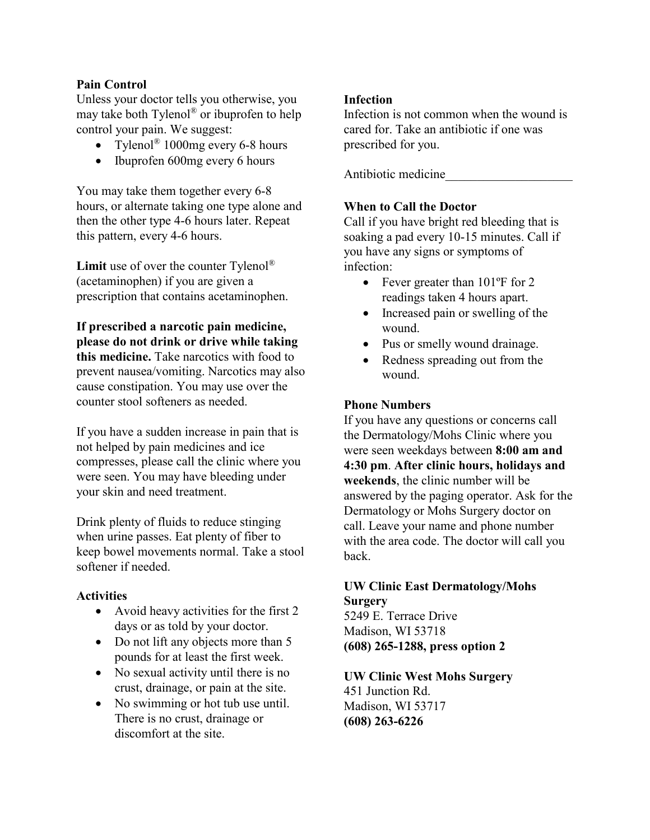#### **Pain Control**

Unless your doctor tells you otherwise, you may take both Tylenol® or ibuprofen to help control your pain. We suggest:

- Tylenol<sup>®</sup> 1000mg every 6-8 hours
- Ibuprofen 600mg every 6 hours

You may take them together every 6-8 hours, or alternate taking one type alone and then the other type 4-6 hours later. Repeat this pattern, every 4-6 hours.

**Limit** use of over the counter Tylenol® (acetaminophen) if you are given a prescription that contains acetaminophen.

**If prescribed a narcotic pain medicine, please do not drink or drive while taking this medicine.** Take narcotics with food to prevent nausea/vomiting. Narcotics may also cause constipation. You may use over the counter stool softeners as needed.

If you have a sudden increase in pain that is not helped by pain medicines and ice compresses, please call the clinic where you were seen. You may have bleeding under your skin and need treatment.

Drink plenty of fluids to reduce stinging when urine passes. Eat plenty of fiber to keep bowel movements normal. Take a stool softener if needed.

#### **Activities**

- Avoid heavy activities for the first 2 days or as told by your doctor.
- Do not lift any objects more than 5 pounds for at least the first week.
- No sexual activity until there is no crust, drainage, or pain at the site.
- No swimming or hot tub use until. There is no crust, drainage or discomfort at the site.

#### **Infection**

Infection is not common when the wound is cared for. Take an antibiotic if one was prescribed for you.

Antibiotic medicine

#### **When to Call the Doctor**

Call if you have bright red bleeding that is soaking a pad every 10-15 minutes. Call if you have any signs or symptoms of infection:

- Fever greater than 101°F for 2 readings taken 4 hours apart.
- Increased pain or swelling of the wound.
- Pus or smelly wound drainage.
- Redness spreading out from the wound.

#### **Phone Numbers**

If you have any questions or concerns call the Dermatology/Mohs Clinic where you were seen weekdays between **8:00 am and 4:30 pm**. **After clinic hours, holidays and weekends**, the clinic number will be answered by the paging operator. Ask for the Dermatology or Mohs Surgery doctor on call. Leave your name and phone number with the area code. The doctor will call you back.

#### **UW Clinic East Dermatology/Mohs Surgery**

5249 E. Terrace Drive Madison, WI 53718 **(608) 265-1288, press option 2**

## **UW Clinic West Mohs Surgery**

451 Junction Rd. Madison, WI 53717 **(608) 263-6226**